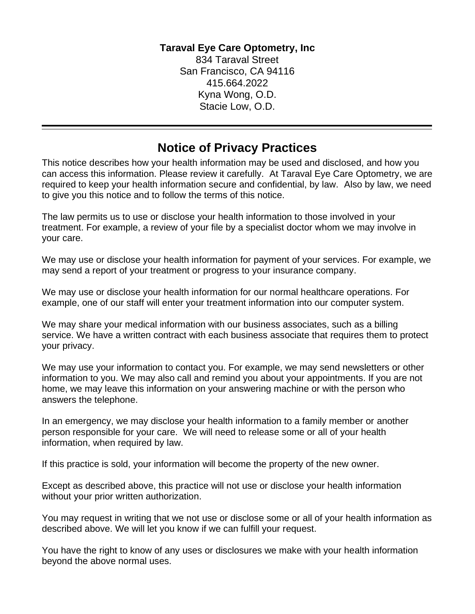## **Taraval Eye Care Optometry, Inc**

834 Taraval Street San Francisco, CA 94116 415.664.2022 Kyna Wong, O.D. Stacie Low, O.D.

## **Notice of Privacy Practices**

This notice describes how your health information may be used and disclosed, and how you can access this information. Please review it carefully. At Taraval Eye Care Optometry, we are required to keep your health information secure and confidential, by law. Also by law, we need to give you this notice and to follow the terms of this notice.

The law permits us to use or disclose your health information to those involved in your treatment. For example, a review of your file by a specialist doctor whom we may involve in your care.

We may use or disclose your health information for payment of your services. For example, we may send a report of your treatment or progress to your insurance company.

We may use or disclose your health information for our normal healthcare operations. For example, one of our staff will enter your treatment information into our computer system.

We may share your medical information with our business associates, such as a billing service. We have a written contract with each business associate that requires them to protect your privacy.

We may use your information to contact you. For example, we may send newsletters or other information to you. We may also call and remind you about your appointments. If you are not home, we may leave this information on your answering machine or with the person who answers the telephone.

In an emergency, we may disclose your health information to a family member or another person responsible for your care. We will need to release some or all of your health information, when required by law.

If this practice is sold, your information will become the property of the new owner.

Except as described above, this practice will not use or disclose your health information without your prior written authorization.

You may request in writing that we not use or disclose some or all of your health information as described above. We will let you know if we can fulfill your request.

You have the right to know of any uses or disclosures we make with your health information beyond the above normal uses.